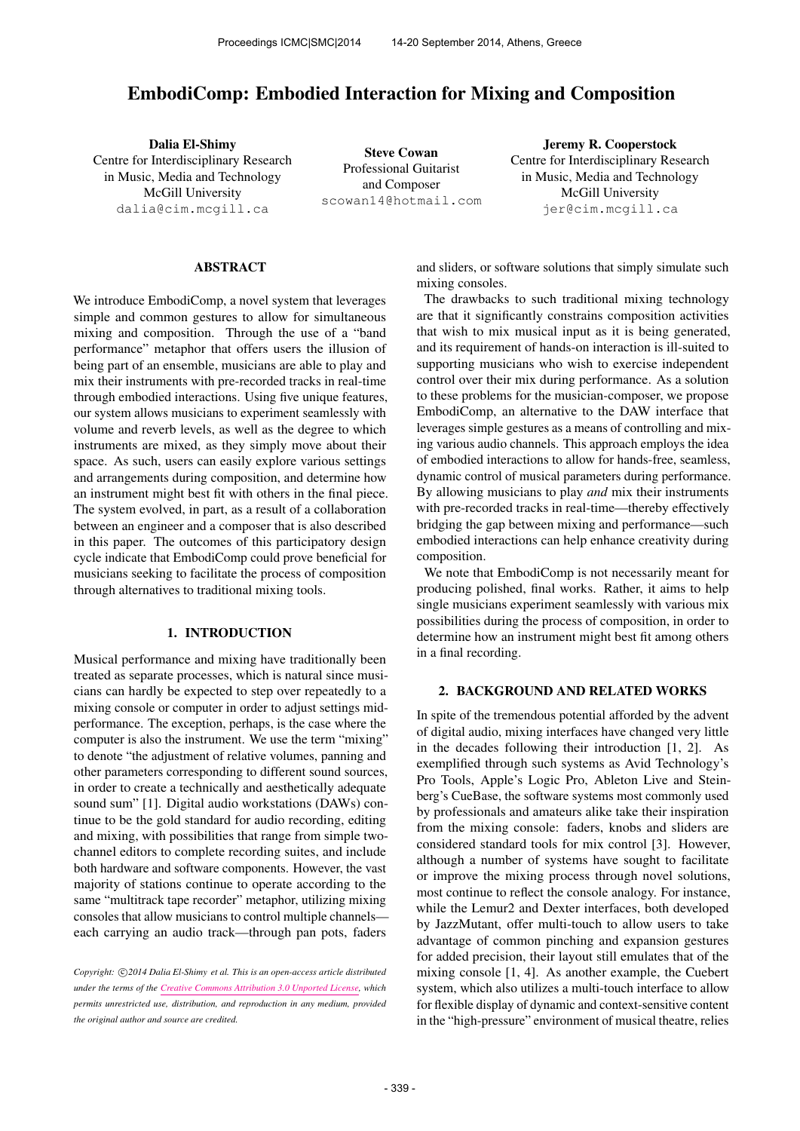# EmbodiComp: Embodied Interaction for Mixing and Composition

Dalia El-Shimy Centre for Interdisciplinary Research in Music, Media and Technology McGill University [dalia@cim.mcgill.ca](mailto:dalia@cim.mcgill.ca)

Steve Cowan Professional Guitarist and Composer [scowan14@hotmail.com](mailto:scowan14@hotmail.com)

Jeremy R. Cooperstock Centre for Interdisciplinary Research in Music, Media and Technology McGill University [jer@cim.mcgill.ca](mailto:jer@cim.mcgill.ca)

#### ABSTRACT

We introduce EmbodiComp, a novel system that leverages simple and common gestures to allow for simultaneous mixing and composition. Through the use of a "band performance" metaphor that offers users the illusion of being part of an ensemble, musicians are able to play and mix their instruments with pre-recorded tracks in real-time through embodied interactions. Using five unique features, our system allows musicians to experiment seamlessly with volume and reverb levels, as well as the degree to which instruments are mixed, as they simply move about their space. As such, users can easily explore various settings and arrangements during composition, and determine how an instrument might best fit with others in the final piece. The system evolved, in part, as a result of a collaboration between an engineer and a composer that is also described in this paper. The outcomes of this participatory design cycle indicate that EmbodiComp could prove beneficial for musicians seeking to facilitate the process of composition through alternatives to traditional mixing tools.

#### 1. INTRODUCTION

Musical performance and mixing have traditionally been treated as separate processes, which is natural since musicians can hardly be expected to step over repeatedly to a mixing console or computer in order to adjust settings midperformance. The exception, perhaps, is the case where the computer is also the instrument. We use the term "mixing" to denote "the adjustment of relative volumes, panning and other parameters corresponding to different sound sources, in order to create a technically and aesthetically adequate sound sum" [1]. Digital audio workstations (DAWs) continue to be the gold standard for audio recording, editing and mixing, with possibilities that range from simple twochannel editors to complete recording suites, and include both hardware and software components. However, the vast majority of stations continue to operate according to the same "multitrack tape recorder" metaphor, utilizing mixing consoles that allow musicians to control multiple channels each carrying an audio track—through pan pots, faders

and sliders, or software solutions that simply simulate such mixing consoles.

The drawbacks to such traditional mixing technology are that it significantly constrains composition activities that wish to mix musical input as it is being generated, and its requirement of hands-on interaction is ill-suited to supporting musicians who wish to exercise independent control over their mix during performance. As a solution to these problems for the musician-composer, we propose EmbodiComp, an alternative to the DAW interface that leverages simple gestures as a means of controlling and mixing various audio channels. This approach employs the idea of embodied interactions to allow for hands-free, seamless, dynamic control of musical parameters during performance. By allowing musicians to play *and* mix their instruments with pre-recorded tracks in real-time—thereby effectively bridging the gap between mixing and performance—such embodied interactions can help enhance creativity during composition.

We note that EmbodiComp is not necessarily meant for producing polished, final works. Rather, it aims to help single musicians experiment seamlessly with various mix possibilities during the process of composition, in order to determine how an instrument might best fit among others in a final recording.

# 2. BACKGROUND AND RELATED WORKS

In spite of the tremendous potential afforded by the advent of digital audio, mixing interfaces have changed very little in the decades following their introduction [1, 2]. As exemplified through such systems as Avid Technology's Pro Tools, Apple's Logic Pro, Ableton Live and Steinberg's CueBase, the software systems most commonly used by professionals and amateurs alike take their inspiration from the mixing console: faders, knobs and sliders are considered standard tools for mix control [3]. However, although a number of systems have sought to facilitate or improve the mixing process through novel solutions, most continue to reflect the console analogy. For instance, while the Lemur2 and Dexter interfaces, both developed by JazzMutant, offer multi-touch to allow users to take advantage of common pinching and expansion gestures for added precision, their layout still emulates that of the mixing console [1, 4]. As another example, the Cuebert system, which also utilizes a multi-touch interface to allow for flexible display of dynamic and context-sensitive content in the "high-pressure" environment of musical theatre, relies

Copyright:  $\bigcirc$ 2014 Dalia El-Shimy et al. This is an open-access article distributed *under the terms of the [Creative Commons Attribution 3.0 Unported License,](http://creativecommons.org/licenses/by/3.0/) which permits unrestricted use, distribution, and reproduction in any medium, provided the original author and source are credited.*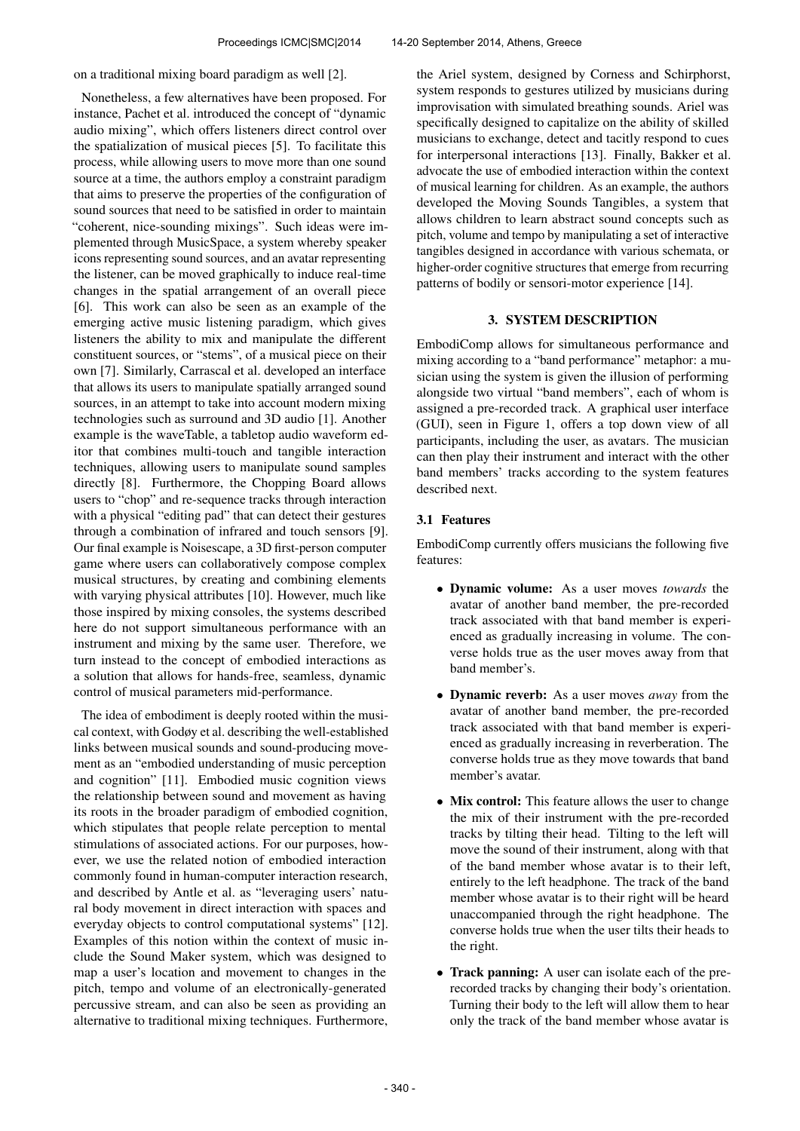on a traditional mixing board paradigm as well [2].

Nonetheless, a few alternatives have been proposed. For instance, Pachet et al. introduced the concept of "dynamic audio mixing", which offers listeners direct control over the spatialization of musical pieces [5]. To facilitate this process, while allowing users to move more than one sound source at a time, the authors employ a constraint paradigm that aims to preserve the properties of the configuration of sound sources that need to be satisfied in order to maintain "coherent, nice-sounding mixings". Such ideas were implemented through MusicSpace, a system whereby speaker icons representing sound sources, and an avatar representing the listener, can be moved graphically to induce real-time changes in the spatial arrangement of an overall piece [6]. This work can also be seen as an example of the emerging active music listening paradigm, which gives listeners the ability to mix and manipulate the different constituent sources, or "stems", of a musical piece on their own [7]. Similarly, Carrascal et al. developed an interface that allows its users to manipulate spatially arranged sound sources, in an attempt to take into account modern mixing technologies such as surround and 3D audio [1]. Another example is the waveTable, a tabletop audio waveform editor that combines multi-touch and tangible interaction techniques, allowing users to manipulate sound samples directly [8]. Furthermore, the Chopping Board allows users to "chop" and re-sequence tracks through interaction with a physical "editing pad" that can detect their gestures through a combination of infrared and touch sensors [9]. Our final example is Noisescape, a 3D first-person computer game where users can collaboratively compose complex musical structures, by creating and combining elements with varying physical attributes [10]. However, much like those inspired by mixing consoles, the systems described here do not support simultaneous performance with an instrument and mixing by the same user. Therefore, we turn instead to the concept of embodied interactions as a solution that allows for hands-free, seamless, dynamic control of musical parameters mid-performance.

The idea of embodiment is deeply rooted within the musical context, with Godøy et al. describing the well-established links between musical sounds and sound-producing movement as an "embodied understanding of music perception and cognition" [11]. Embodied music cognition views the relationship between sound and movement as having its roots in the broader paradigm of embodied cognition, which stipulates that people relate perception to mental stimulations of associated actions. For our purposes, however, we use the related notion of embodied interaction commonly found in human-computer interaction research, and described by Antle et al. as "leveraging users' natural body movement in direct interaction with spaces and everyday objects to control computational systems" [12]. Examples of this notion within the context of music include the Sound Maker system, which was designed to map a user's location and movement to changes in the pitch, tempo and volume of an electronically-generated percussive stream, and can also be seen as providing an alternative to traditional mixing techniques. Furthermore,

the Ariel system, designed by Corness and Schirphorst, system responds to gestures utilized by musicians during improvisation with simulated breathing sounds. Ariel was specifically designed to capitalize on the ability of skilled musicians to exchange, detect and tacitly respond to cues for interpersonal interactions [13]. Finally, Bakker et al. advocate the use of embodied interaction within the context of musical learning for children. As an example, the authors developed the Moving Sounds Tangibles, a system that allows children to learn abstract sound concepts such as pitch, volume and tempo by manipulating a set of interactive tangibles designed in accordance with various schemata, or higher-order cognitive structures that emerge from recurring patterns of bodily or sensori-motor experience [14].

#### 3. SYSTEM DESCRIPTION

EmbodiComp allows for simultaneous performance and mixing according to a "band performance" metaphor: a musician using the system is given the illusion of performing alongside two virtual "band members", each of whom is assigned a pre-recorded track. A graphical user interface (GUI), seen in Figure 1, offers a top down view of all participants, including the user, as avatars. The musician can then play their instrument and interact with the other band members' tracks according to the system features described next.

#### 3.1 Features

EmbodiComp currently offers musicians the following five features:

- Dynamic volume: As a user moves *towards* the avatar of another band member, the pre-recorded track associated with that band member is experienced as gradually increasing in volume. The converse holds true as the user moves away from that band member's.
- Dynamic reverb: As a user moves *away* from the avatar of another band member, the pre-recorded track associated with that band member is experienced as gradually increasing in reverberation. The converse holds true as they move towards that band member's avatar.
- Mix control: This feature allows the user to change the mix of their instrument with the pre-recorded tracks by tilting their head. Tilting to the left will move the sound of their instrument, along with that of the band member whose avatar is to their left, entirely to the left headphone. The track of the band member whose avatar is to their right will be heard unaccompanied through the right headphone. The converse holds true when the user tilts their heads to the right.
- Track panning: A user can isolate each of the prerecorded tracks by changing their body's orientation. Turning their body to the left will allow them to hear only the track of the band member whose avatar is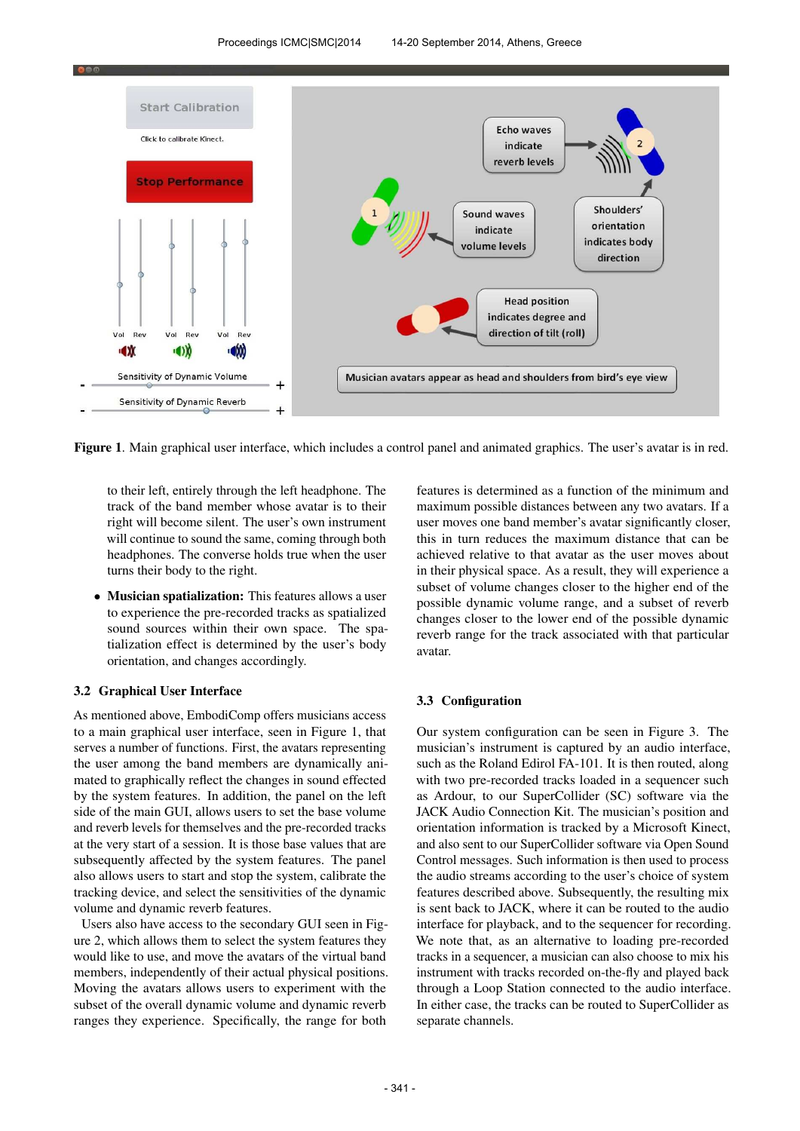

Figure 1. Main graphical user interface, which includes a control panel and animated graphics. The user's avatar is in red.

to their left, entirely through the left headphone. The track of the band member whose avatar is to their right will become silent. The user's own instrument will continue to sound the same, coming through both headphones. The converse holds true when the user turns their body to the right.

• Musician spatialization: This features allows a user to experience the pre-recorded tracks as spatialized sound sources within their own space. The spatialization effect is determined by the user's body orientation, and changes accordingly.

#### 3.2 Graphical User Interface

As mentioned above, EmbodiComp offers musicians access to a main graphical user interface, seen in Figure 1, that serves a number of functions. First, the avatars representing the user among the band members are dynamically animated to graphically reflect the changes in sound effected by the system features. In addition, the panel on the left side of the main GUI, allows users to set the base volume and reverb levels for themselves and the pre-recorded tracks at the very start of a session. It is those base values that are subsequently affected by the system features. The panel also allows users to start and stop the system, calibrate the tracking device, and select the sensitivities of the dynamic volume and dynamic reverb features.

Users also have access to the secondary GUI seen in Figure 2, which allows them to select the system features they would like to use, and move the avatars of the virtual band members, independently of their actual physical positions. Moving the avatars allows users to experiment with the subset of the overall dynamic volume and dynamic reverb ranges they experience. Specifically, the range for both

features is determined as a function of the minimum and maximum possible distances between any two avatars. If a user moves one band member's avatar significantly closer, this in turn reduces the maximum distance that can be achieved relative to that avatar as the user moves about in their physical space. As a result, they will experience a subset of volume changes closer to the higher end of the possible dynamic volume range, and a subset of reverb changes closer to the lower end of the possible dynamic reverb range for the track associated with that particular avatar.

#### 3.3 Configuration

Our system configuration can be seen in Figure 3. The musician's instrument is captured by an audio interface, such as the Roland Edirol FA-101. It is then routed, along with two pre-recorded tracks loaded in a sequencer such as Ardour, to our SuperCollider (SC) software via the JACK Audio Connection Kit. The musician's position and orientation information is tracked by a Microsoft Kinect, and also sent to our SuperCollider software via Open Sound Control messages. Such information is then used to process the audio streams according to the user's choice of system features described above. Subsequently, the resulting mix is sent back to JACK, where it can be routed to the audio interface for playback, and to the sequencer for recording. We note that, as an alternative to loading pre-recorded tracks in a sequencer, a musician can also choose to mix his instrument with tracks recorded on-the-fly and played back through a Loop Station connected to the audio interface. In either case, the tracks can be routed to SuperCollider as separate channels.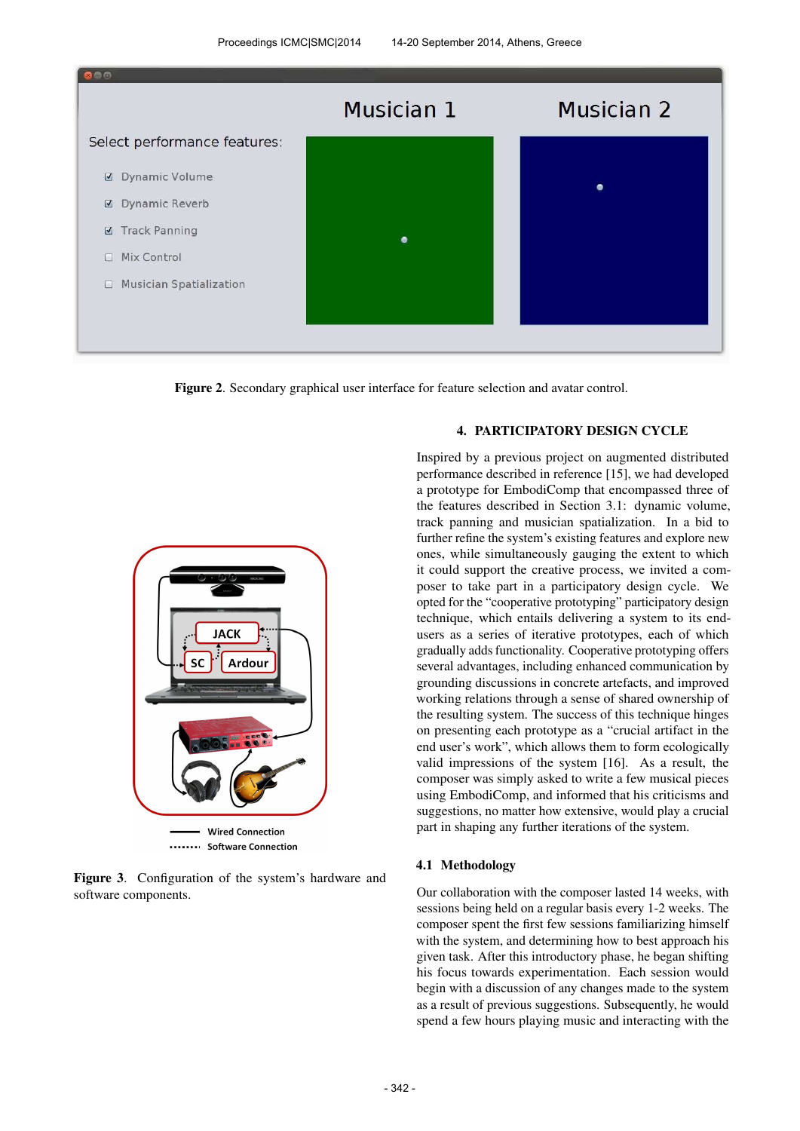

Figure 2. Secondary graphical user interface for feature selection and avatar control.



....... Software Connection

Figure 3. Configuration of the system's hardware and software components.

# 4. PARTICIPATORY DESIGN CYCLE

Inspired by a previous project on augmented distributed performance described in reference [15], we had developed a prototype for EmbodiComp that encompassed three of the features described in Section 3.1: dynamic volume, track panning and musician spatialization. In a bid to further refine the system's existing features and explore new ones, while simultaneously gauging the extent to which it could support the creative process, we invited a composer to take part in a participatory design cycle. We opted for the "cooperative prototyping" participatory design technique, which entails delivering a system to its endusers as a series of iterative prototypes, each of which gradually adds functionality. Cooperative prototyping offers several advantages, including enhanced communication by grounding discussions in concrete artefacts, and improved working relations through a sense of shared ownership of the resulting system. The success of this technique hinges on presenting each prototype as a "crucial artifact in the end user's work", which allows them to form ecologically valid impressions of the system [16]. As a result, the composer was simply asked to write a few musical pieces using EmbodiComp, and informed that his criticisms and suggestions, no matter how extensive, would play a crucial part in shaping any further iterations of the system.

#### 4.1 Methodology

Our collaboration with the composer lasted 14 weeks, with sessions being held on a regular basis every 1-2 weeks. The composer spent the first few sessions familiarizing himself with the system, and determining how to best approach his given task. After this introductory phase, he began shifting his focus towards experimentation. Each session would begin with a discussion of any changes made to the system as a result of previous suggestions. Subsequently, he would spend a few hours playing music and interacting with the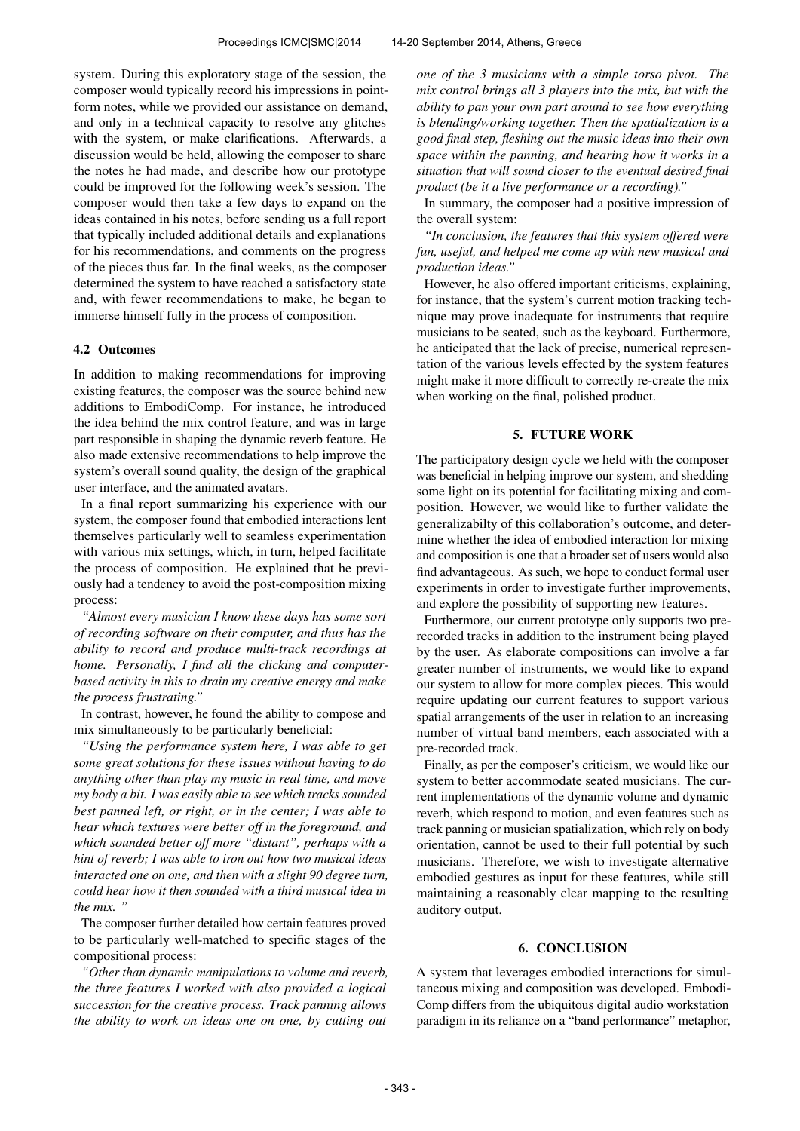system. During this exploratory stage of the session, the composer would typically record his impressions in pointform notes, while we provided our assistance on demand, and only in a technical capacity to resolve any glitches with the system, or make clarifications. Afterwards, a discussion would be held, allowing the composer to share the notes he had made, and describe how our prototype could be improved for the following week's session. The composer would then take a few days to expand on the ideas contained in his notes, before sending us a full report that typically included additional details and explanations for his recommendations, and comments on the progress of the pieces thus far. In the final weeks, as the composer determined the system to have reached a satisfactory state and, with fewer recommendations to make, he began to immerse himself fully in the process of composition.

#### 4.2 Outcomes

In addition to making recommendations for improving existing features, the composer was the source behind new additions to EmbodiComp. For instance, he introduced the idea behind the mix control feature, and was in large part responsible in shaping the dynamic reverb feature. He also made extensive recommendations to help improve the system's overall sound quality, the design of the graphical user interface, and the animated avatars.

In a final report summarizing his experience with our system, the composer found that embodied interactions lent themselves particularly well to seamless experimentation with various mix settings, which, in turn, helped facilitate the process of composition. He explained that he previously had a tendency to avoid the post-composition mixing process:

*"Almost every musician I know these days has some sort of recording software on their computer, and thus has the ability to record and produce multi-track recordings at home. Personally, I find all the clicking and computerbased activity in this to drain my creative energy and make the process frustrating."*

In contrast, however, he found the ability to compose and mix simultaneously to be particularly beneficial:

*"Using the performance system here, I was able to get some great solutions for these issues without having to do anything other than play my music in real time, and move my body a bit. I was easily able to see which tracks sounded best panned left, or right, or in the center; I was able to hear which textures were better off in the foreground, and which sounded better off more "distant", perhaps with a hint of reverb; I was able to iron out how two musical ideas interacted one on one, and then with a slight 90 degree turn, could hear how it then sounded with a third musical idea in the mix. "*

The composer further detailed how certain features proved to be particularly well-matched to specific stages of the compositional process:

*"Other than dynamic manipulations to volume and reverb, the three features I worked with also provided a logical succession for the creative process. Track panning allows the ability to work on ideas one on one, by cutting out*

*one of the 3 musicians with a simple torso pivot. The mix control brings all 3 players into the mix, but with the ability to pan your own part around to see how everything is blending/working together. Then the spatialization is a good final step, fleshing out the music ideas into their own space within the panning, and hearing how it works in a situation that will sound closer to the eventual desired final product (be it a live performance or a recording)."*

In summary, the composer had a positive impression of the overall system:

*"In conclusion, the features that this system offered were fun, useful, and helped me come up with new musical and production ideas."*

However, he also offered important criticisms, explaining, for instance, that the system's current motion tracking technique may prove inadequate for instruments that require musicians to be seated, such as the keyboard. Furthermore, he anticipated that the lack of precise, numerical representation of the various levels effected by the system features might make it more difficult to correctly re-create the mix when working on the final, polished product.

# 5. FUTURE WORK

The participatory design cycle we held with the composer was beneficial in helping improve our system, and shedding some light on its potential for facilitating mixing and composition. However, we would like to further validate the generalizabilty of this collaboration's outcome, and determine whether the idea of embodied interaction for mixing and composition is one that a broader set of users would also find advantageous. As such, we hope to conduct formal user experiments in order to investigate further improvements, and explore the possibility of supporting new features.

Furthermore, our current prototype only supports two prerecorded tracks in addition to the instrument being played by the user. As elaborate compositions can involve a far greater number of instruments, we would like to expand our system to allow for more complex pieces. This would require updating our current features to support various spatial arrangements of the user in relation to an increasing number of virtual band members, each associated with a pre-recorded track.

Finally, as per the composer's criticism, we would like our system to better accommodate seated musicians. The current implementations of the dynamic volume and dynamic reverb, which respond to motion, and even features such as track panning or musician spatialization, which rely on body orientation, cannot be used to their full potential by such musicians. Therefore, we wish to investigate alternative embodied gestures as input for these features, while still maintaining a reasonably clear mapping to the resulting auditory output.

# 6. CONCLUSION

A system that leverages embodied interactions for simultaneous mixing and composition was developed. Embodi-Comp differs from the ubiquitous digital audio workstation paradigm in its reliance on a "band performance" metaphor,